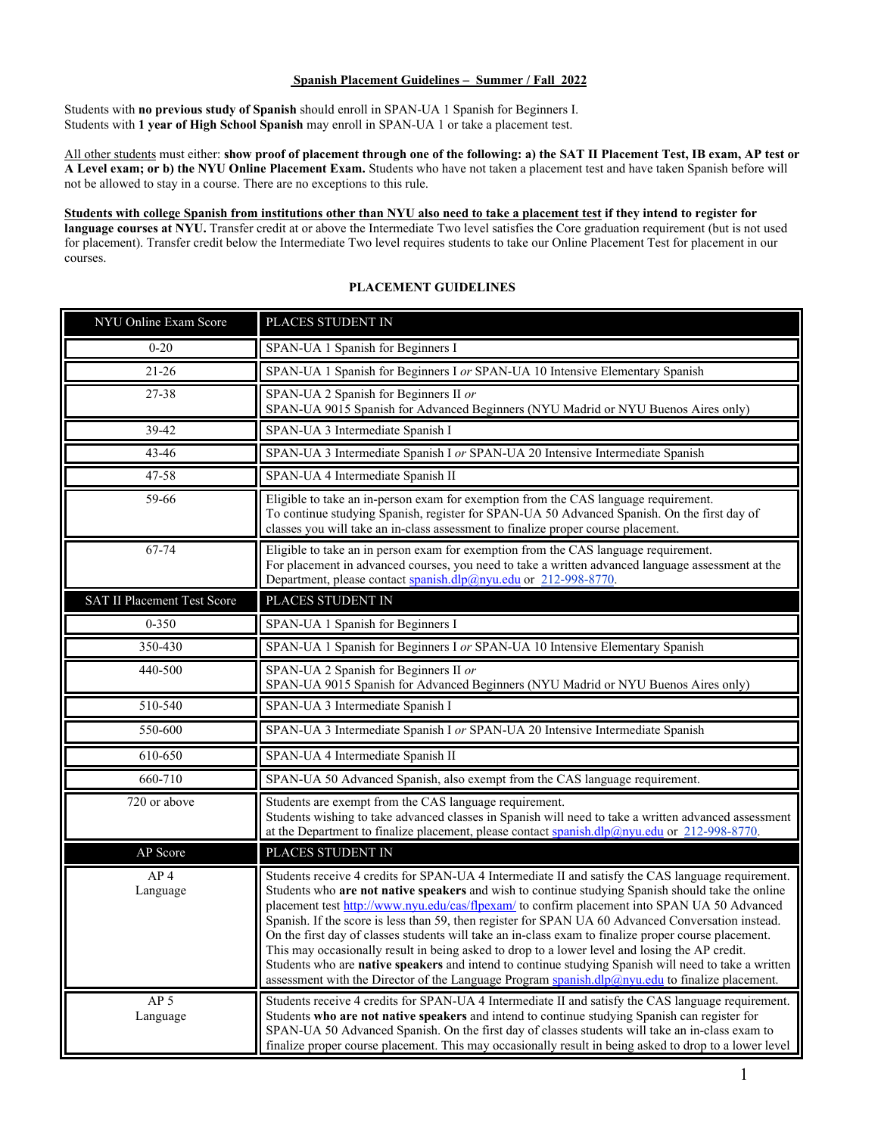## **Spanish Placement Guidelines – Summer / Fall 2022**

Students with **no previous study of Spanish** should enroll in SPAN-UA 1 Spanish for Beginners I. Students with **1 year of High School Spanish** may enroll in SPAN-UA 1 or take a placement test.

All other students must either: **show proof of placement through one of the following: a) the SAT II Placement Test, IB exam, AP test or A Level exam; or b) the NYU Online Placement Exam.** Students who have not taken a placement test and have taken Spanish before will not be allowed to stay in a course. There are no exceptions to this rule.

**Students with college Spanish from institutions other than NYU also need to take a placement test if they intend to register for language courses at NYU.** Transfer credit at or above the Intermediate Two level satisfies the Core graduation requirement (but is not used for placement). Transfer credit below the Intermediate Two level requires students to take our Online Placement Test for placement in our courses.

## **PLACEMENT GUIDELINES**

| NYU Online Exam Score              | PLACES STUDENT IN                                                                                                                                                                                                                                                                                                                                                                                                                                                                                                                                                                                                                                                                                                                                                                                                                                                                                                                        |
|------------------------------------|------------------------------------------------------------------------------------------------------------------------------------------------------------------------------------------------------------------------------------------------------------------------------------------------------------------------------------------------------------------------------------------------------------------------------------------------------------------------------------------------------------------------------------------------------------------------------------------------------------------------------------------------------------------------------------------------------------------------------------------------------------------------------------------------------------------------------------------------------------------------------------------------------------------------------------------|
| $0 - 20$                           | SPAN-UA 1 Spanish for Beginners I                                                                                                                                                                                                                                                                                                                                                                                                                                                                                                                                                                                                                                                                                                                                                                                                                                                                                                        |
| $21 - 26$                          | SPAN-UA 1 Spanish for Beginners I or SPAN-UA 10 Intensive Elementary Spanish                                                                                                                                                                                                                                                                                                                                                                                                                                                                                                                                                                                                                                                                                                                                                                                                                                                             |
| 27-38                              | SPAN-UA 2 Spanish for Beginners II or<br>SPAN-UA 9015 Spanish for Advanced Beginners (NYU Madrid or NYU Buenos Aires only)                                                                                                                                                                                                                                                                                                                                                                                                                                                                                                                                                                                                                                                                                                                                                                                                               |
| 39-42                              | SPAN-UA 3 Intermediate Spanish I                                                                                                                                                                                                                                                                                                                                                                                                                                                                                                                                                                                                                                                                                                                                                                                                                                                                                                         |
| 43-46                              | SPAN-UA 3 Intermediate Spanish I or SPAN-UA 20 Intensive Intermediate Spanish                                                                                                                                                                                                                                                                                                                                                                                                                                                                                                                                                                                                                                                                                                                                                                                                                                                            |
| 47-58                              | SPAN-UA 4 Intermediate Spanish II                                                                                                                                                                                                                                                                                                                                                                                                                                                                                                                                                                                                                                                                                                                                                                                                                                                                                                        |
| 59-66                              | Eligible to take an in-person exam for exemption from the CAS language requirement.<br>To continue studying Spanish, register for SPAN-UA 50 Advanced Spanish. On the first day of<br>classes you will take an in-class assessment to finalize proper course placement.                                                                                                                                                                                                                                                                                                                                                                                                                                                                                                                                                                                                                                                                  |
| 67-74                              | Eligible to take an in person exam for exemption from the CAS language requirement.<br>For placement in advanced courses, you need to take a written advanced language assessment at the<br>Department, please contact spanish.dlp@nyu.edu or 212-998-8770.                                                                                                                                                                                                                                                                                                                                                                                                                                                                                                                                                                                                                                                                              |
| <b>SAT II Placement Test Score</b> | PLACES STUDENT IN                                                                                                                                                                                                                                                                                                                                                                                                                                                                                                                                                                                                                                                                                                                                                                                                                                                                                                                        |
| $0 - 350$                          | SPAN-UA 1 Spanish for Beginners I                                                                                                                                                                                                                                                                                                                                                                                                                                                                                                                                                                                                                                                                                                                                                                                                                                                                                                        |
| 350-430                            | SPAN-UA 1 Spanish for Beginners I or SPAN-UA 10 Intensive Elementary Spanish                                                                                                                                                                                                                                                                                                                                                                                                                                                                                                                                                                                                                                                                                                                                                                                                                                                             |
| 440-500                            | SPAN-UA 2 Spanish for Beginners II or<br>SPAN-UA 9015 Spanish for Advanced Beginners (NYU Madrid or NYU Buenos Aires only)                                                                                                                                                                                                                                                                                                                                                                                                                                                                                                                                                                                                                                                                                                                                                                                                               |
| 510-540                            | SPAN-UA 3 Intermediate Spanish I                                                                                                                                                                                                                                                                                                                                                                                                                                                                                                                                                                                                                                                                                                                                                                                                                                                                                                         |
| 550-600                            | SPAN-UA 3 Intermediate Spanish I or SPAN-UA 20 Intensive Intermediate Spanish                                                                                                                                                                                                                                                                                                                                                                                                                                                                                                                                                                                                                                                                                                                                                                                                                                                            |
| 610-650                            | SPAN-UA 4 Intermediate Spanish II                                                                                                                                                                                                                                                                                                                                                                                                                                                                                                                                                                                                                                                                                                                                                                                                                                                                                                        |
| 660-710                            | SPAN-UA 50 Advanced Spanish, also exempt from the CAS language requirement.                                                                                                                                                                                                                                                                                                                                                                                                                                                                                                                                                                                                                                                                                                                                                                                                                                                              |
| 720 or above                       | Students are exempt from the CAS language requirement.<br>Students wishing to take advanced classes in Spanish will need to take a written advanced assessment<br>at the Department to finalize placement, please contact spanish.dlp@nyu.edu or 212-998-8770.                                                                                                                                                                                                                                                                                                                                                                                                                                                                                                                                                                                                                                                                           |
| AP Score                           | PLACES STUDENT IN                                                                                                                                                                                                                                                                                                                                                                                                                                                                                                                                                                                                                                                                                                                                                                                                                                                                                                                        |
| AP <sub>4</sub><br>Language        | Students receive 4 credits for SPAN-UA 4 Intermediate II and satisfy the CAS language requirement.<br>Students who <b>are not native speakers</b> and wish to continue studying Spanish should take the online<br>placement test http://www.nyu.edu/cas/flpexam/ to confirm placement into SPAN UA 50 Advanced<br>Spanish. If the score is less than 59, then register for SPAN UA 60 Advanced Conversation instead.<br>On the first day of classes students will take an in-class exam to finalize proper course placement.<br>This may occasionally result in being asked to drop to a lower level and losing the AP credit.<br>Students who are native speakers and intend to continue studying Spanish will need to take a written<br>assessment with the Director of the Language Program $\frac{\text{spanish} \cdot \text{dlp}(\partial_i n y u, \text{ed} u)}{\text{dlp}(\partial_i n y u, \text{ed} u)}$ to finalize placement. |
| AP <sub>5</sub><br>Language        | Students receive 4 credits for SPAN-UA 4 Intermediate II and satisfy the CAS language requirement.<br>Students who are not native speakers and intend to continue studying Spanish can register for<br>SPAN-UA 50 Advanced Spanish. On the first day of classes students will take an in-class exam to<br>finalize proper course placement. This may occasionally result in being asked to drop to a lower level                                                                                                                                                                                                                                                                                                                                                                                                                                                                                                                         |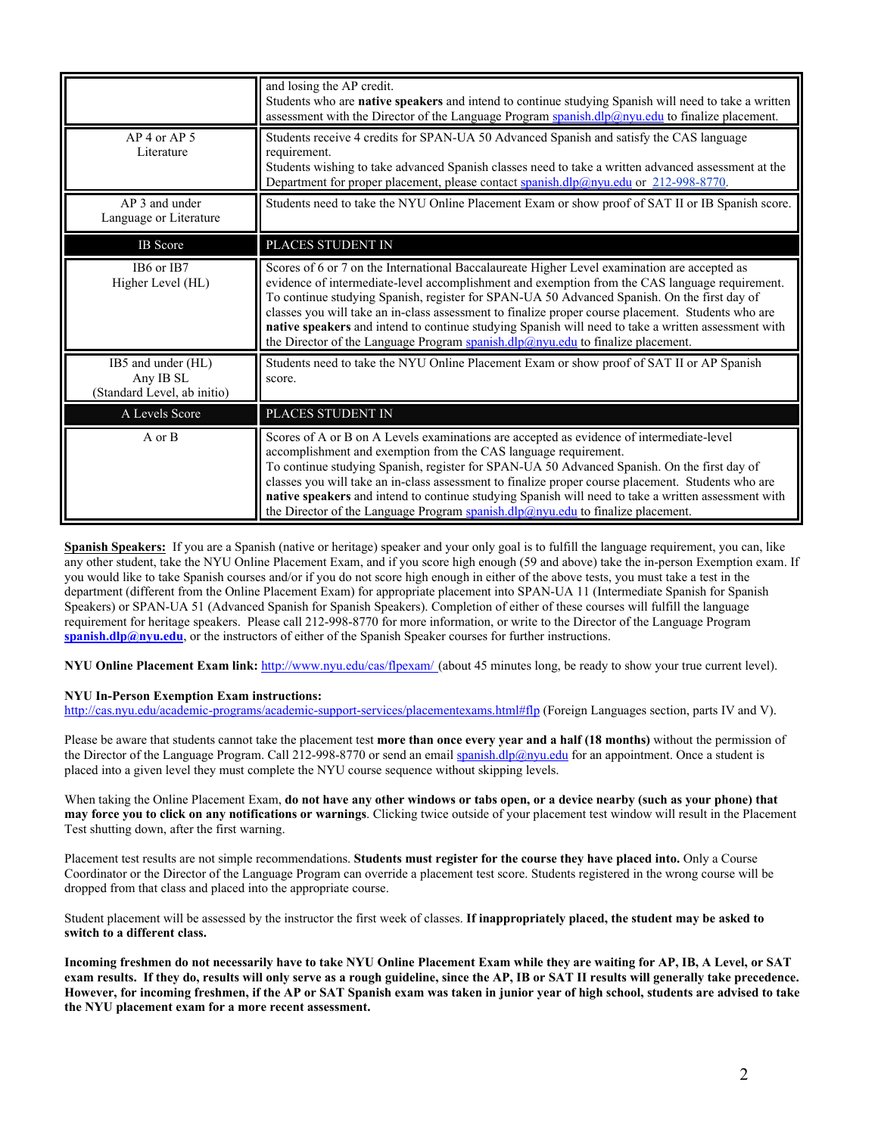|                                                                | and losing the AP credit.<br>Students who are native speakers and intend to continue studying Spanish will need to take a written<br>assessment with the Director of the Language Program $\frac{\text{spanish} \cdot \text{dlp}(\partial \rho) \text{nyu.edu}}{\text{dlp}(\partial \rho) \text{pu.edu}}$ to finalize placement.                                                                                                                                                                                                                                                                  |
|----------------------------------------------------------------|---------------------------------------------------------------------------------------------------------------------------------------------------------------------------------------------------------------------------------------------------------------------------------------------------------------------------------------------------------------------------------------------------------------------------------------------------------------------------------------------------------------------------------------------------------------------------------------------------|
| $AP$ 4 or $AP$ 5<br>Literature                                 | Students receive 4 credits for SPAN-UA 50 Advanced Spanish and satisfy the CAS language<br>requirement.<br>Students wishing to take advanced Spanish classes need to take a written advanced assessment at the<br>Department for proper placement, please contact spanish.dlp@nyu.edu or 212-998-8770.                                                                                                                                                                                                                                                                                            |
| AP 3 and under<br>Language or Literature                       | Students need to take the NYU Online Placement Exam or show proof of SAT II or IB Spanish score.                                                                                                                                                                                                                                                                                                                                                                                                                                                                                                  |
| <b>IB</b> Score                                                | PLACES STUDENT IN                                                                                                                                                                                                                                                                                                                                                                                                                                                                                                                                                                                 |
| IB6 or IB7<br>Higher Level (HL)                                | Scores of 6 or 7 on the International Baccalaureate Higher Level examination are accepted as<br>evidence of intermediate-level accomplishment and exemption from the CAS language requirement.<br>To continue studying Spanish, register for SPAN-UA 50 Advanced Spanish. On the first day of<br>classes you will take an in-class assessment to finalize proper course placement. Students who are<br>native speakers and intend to continue studying Spanish will need to take a written assessment with<br>the Director of the Language Program spanish.dlp $@$ nyu.edu to finalize placement. |
| IB5 and under (HL)<br>Any IB SL<br>(Standard Level, ab initio) | Students need to take the NYU Online Placement Exam or show proof of SAT II or AP Spanish<br>score.                                                                                                                                                                                                                                                                                                                                                                                                                                                                                               |
| A Levels Score                                                 | PLACES STUDENT IN                                                                                                                                                                                                                                                                                                                                                                                                                                                                                                                                                                                 |
| A or B                                                         | Scores of A or B on A Levels examinations are accepted as evidence of intermediate-level<br>accomplishment and exemption from the CAS language requirement.<br>To continue studying Spanish, register for SPAN-UA 50 Advanced Spanish. On the first day of<br>classes you will take an in-class assessment to finalize proper course placement. Students who are<br>native speakers and intend to continue studying Spanish will need to take a written assessment with<br>the Director of the Language Program spanish.dlp@nyu.edu to finalize placement.                                        |

**Spanish Speakers:** If you are a Spanish (native or heritage) speaker and your only goal is to fulfill the language requirement, you can, like any other student, take the NYU Online Placement Exam, and if you score high enough (59 and above) take the in-person Exemption exam. If you would like to take Spanish courses and/or if you do not score high enough in either of the above tests, you must take a test in the department (different from the Online Placement Exam) for appropriate placement into SPAN-UA 11 (Intermediate Spanish for Spanish Speakers) or SPAN-UA 51 (Advanced Spanish for Spanish Speakers). Completion of either of these courses will fulfill the language requirement for heritage speakers. Please call 212-998-8770 for more information, or write to the Director of the Language Program **spanish.dlp@nyu.edu**, or the instructors of either of the Spanish Speaker courses for further instructions.

**NYU Online Placement Exam link:** http://www.nyu.edu/cas/flpexam/ (about 45 minutes long, be ready to show your true current level).

## **NYU In-Person Exemption Exam instructions:**

http://cas.nyu.edu/academic-programs/academic-support-services/placementexams.html#flp (Foreign Languages section, parts IV and V).

Please be aware that students cannot take the placement test **more than once every year and a half (18 months)** without the permission of the Director of the Language Program. Call 212-998-8770 or send an email spanish.dlp@nyu.edu for an appointment. Once a student is placed into a given level they must complete the NYU course sequence without skipping levels.

When taking the Online Placement Exam, **do not have any other windows or tabs open, or a device nearby (such as your phone) that may force you to click on any notifications or warnings**. Clicking twice outside of your placement test window will result in the Placement Test shutting down, after the first warning.

Placement test results are not simple recommendations. **Students must register for the course they have placed into.** Only a Course Coordinator or the Director of the Language Program can override a placement test score. Students registered in the wrong course will be dropped from that class and placed into the appropriate course.

Student placement will be assessed by the instructor the first week of classes. **If inappropriately placed, the student may be asked to switch to a different class.** 

**Incoming freshmen do not necessarily have to take NYU Online Placement Exam while they are waiting for AP, IB, A Level, or SAT exam results. If they do, results will only serve as a rough guideline, since the AP, IB or SAT II results will generally take precedence. However, for incoming freshmen, if the AP or SAT Spanish exam was taken in junior year of high school, students are advised to take the NYU placement exam for a more recent assessment.**